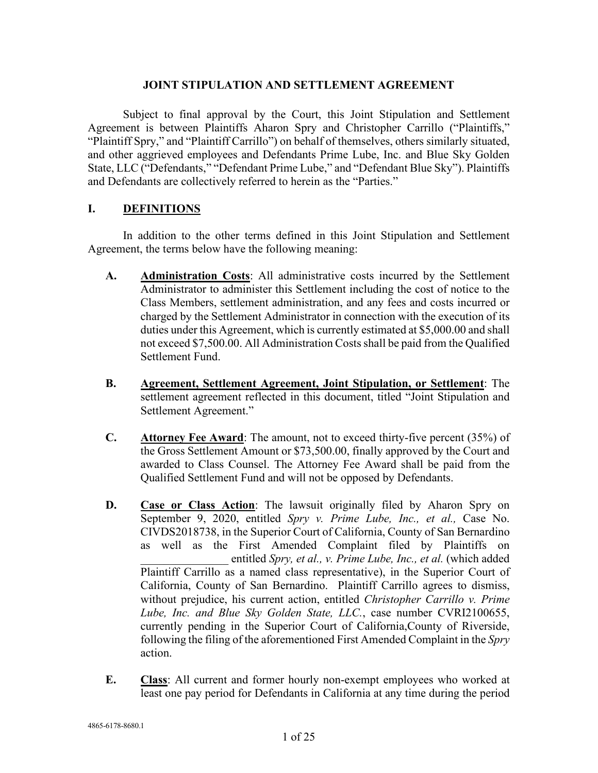## **JOINT STIPULATION AND SETTLEMENT AGREEMENT**

Subject to final approval by the Court, this Joint Stipulation and Settlement Agreement is between Plaintiffs Aharon Spry and Christopher Carrillo ("Plaintiffs," "Plaintiff Spry," and "Plaintiff Carrillo") on behalf of themselves, others similarly situated, and other aggrieved employees and Defendants Prime Lube, Inc. and Blue Sky Golden State, LLC ("Defendants," "Defendant Prime Lube," and "Defendant Blue Sky"). Plaintiffs and Defendants are collectively referred to herein as the "Parties."

## **I. DEFINITIONS**

In addition to the other terms defined in this Joint Stipulation and Settlement Agreement, the terms below have the following meaning:

- **A. Administration Costs**: All administrative costs incurred by the Settlement Administrator to administer this Settlement including the cost of notice to the Class Members, settlement administration, and any fees and costs incurred or charged by the Settlement Administrator in connection with the execution of its duties under this Agreement, which is currently estimated at \$5,000.00 and shall not exceed \$7,500.00. All Administration Costs shall be paid from the Qualified Settlement Fund.
- **B. Agreement, Settlement Agreement, Joint Stipulation, or Settlement**: The settlement agreement reflected in this document, titled "Joint Stipulation and Settlement Agreement."
- **C. Attorney Fee Award**: The amount, not to exceed thirty-five percent (35%) of the Gross Settlement Amount or \$73,500.00, finally approved by the Court and awarded to Class Counsel. The Attorney Fee Award shall be paid from the Qualified Settlement Fund and will not be opposed by Defendants.
- **D. Case or Class Action**: The lawsuit originally filed by Aharon Spry on September 9, 2020, entitled *Spry v. Prime Lube, Inc., et al.,* Case No. CIVDS2018738, in the Superior Court of California, County of San Bernardino as well as the First Amended Complaint filed by Plaintiffs on \_\_\_\_\_\_\_\_\_\_\_\_\_\_\_ entitled *Spry, et al., v. Prime Lube, Inc., et al.* (which added Plaintiff Carrillo as a named class representative), in the Superior Court of California, County of San Bernardino. Plaintiff Carrillo agrees to dismiss, without prejudice, his current action, entitled *Christopher Carrillo v. Prime Lube, Inc. and Blue Sky Golden State, LLC.*, case number CVRI2100655, currently pending in the Superior Court of California,County of Riverside, following the filing of the aforementioned First Amended Complaint in the *Spry* action.
- **E. Class**: All current and former hourly non-exempt employees who worked at least one pay period for Defendants in California at any time during the period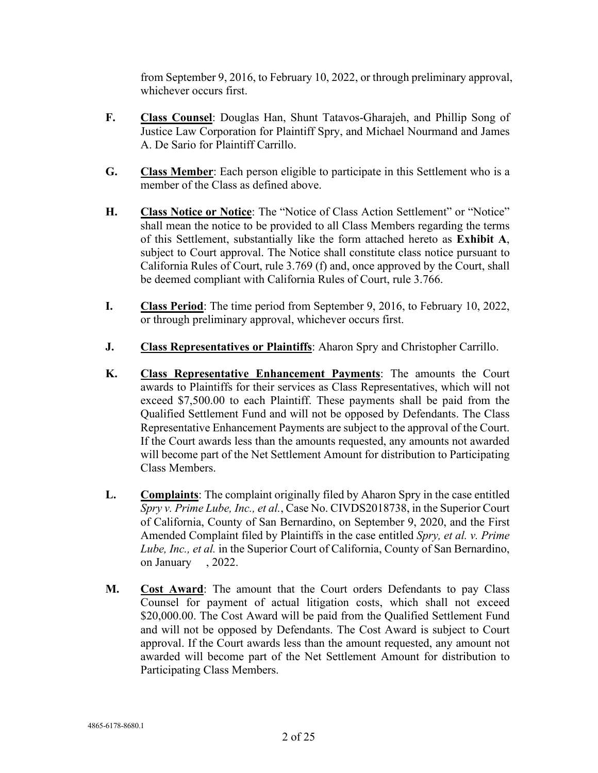from September 9, 2016, to February 10, 2022, or through preliminary approval, whichever occurs first.

- **F. Class Counsel**: Douglas Han, Shunt Tatavos-Gharajeh, and Phillip Song of Justice Law Corporation for Plaintiff Spry, and Michael Nourmand and James A. De Sario for Plaintiff Carrillo.
- **G. Class Member**: Each person eligible to participate in this Settlement who is a member of the Class as defined above.
- **H. Class Notice or Notice**: The "Notice of Class Action Settlement" or "Notice" shall mean the notice to be provided to all Class Members regarding the terms of this Settlement, substantially like the form attached hereto as **Exhibit A**, subject to Court approval. The Notice shall constitute class notice pursuant to California Rules of Court, rule 3.769 (f) and, once approved by the Court, shall be deemed compliant with California Rules of Court, rule 3.766.
- **I. Class Period**: The time period from September 9, 2016, to February 10, 2022, or through preliminary approval, whichever occurs first.
- **J. Class Representatives or Plaintiffs**: Aharon Spry and Christopher Carrillo.
- **K. Class Representative Enhancement Payments**: The amounts the Court awards to Plaintiffs for their services as Class Representatives, which will not exceed \$7,500.00 to each Plaintiff. These payments shall be paid from the Qualified Settlement Fund and will not be opposed by Defendants. The Class Representative Enhancement Payments are subject to the approval of the Court. If the Court awards less than the amounts requested, any amounts not awarded will become part of the Net Settlement Amount for distribution to Participating Class Members.
- **L. Complaints**: The complaint originally filed by Aharon Spry in the case entitled *Spry v. Prime Lube, Inc., et al.*, Case No. CIVDS2018738, in the Superior Court of California, County of San Bernardino, on September 9, 2020, and the First Amended Complaint filed by Plaintiffs in the case entitled *Spry, et al. v. Prime Lube, Inc., et al.* in the Superior Court of California, County of San Bernardino, on January , 2022.
- **M. Cost Award**: The amount that the Court orders Defendants to pay Class Counsel for payment of actual litigation costs, which shall not exceed \$20,000.00. The Cost Award will be paid from the Qualified Settlement Fund and will not be opposed by Defendants. The Cost Award is subject to Court approval. If the Court awards less than the amount requested, any amount not awarded will become part of the Net Settlement Amount for distribution to Participating Class Members.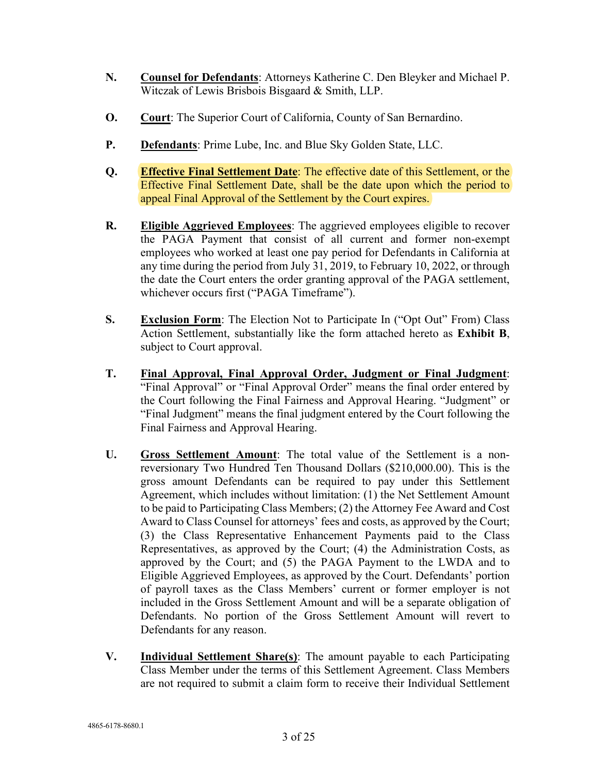- **N. Counsel for Defendants**: Attorneys Katherine C. Den Bleyker and Michael P. Witczak of Lewis Brisbois Bisgaard & Smith, LLP.
- **O. Court**: The Superior Court of California, County of San Bernardino.
- **P. Defendants**: Prime Lube, Inc. and Blue Sky Golden State, LLC.
- **Q. Effective Final Settlement Date**: The effective date of this Settlement, or the Effective Final Settlement Date, shall be the date upon which the period to appeal Final Approval of the Settlement by the Court expires.
- **R. Eligible Aggrieved Employees**: The aggrieved employees eligible to recover the PAGA Payment that consist of all current and former non-exempt employees who worked at least one pay period for Defendants in California at any time during the period from July 31, 2019, to February 10, 2022, or through the date the Court enters the order granting approval of the PAGA settlement, whichever occurs first ("PAGA Timeframe").
- **S. Exclusion Form**: The Election Not to Participate In ("Opt Out" From) Class Action Settlement, substantially like the form attached hereto as **Exhibit B**, subject to Court approval.
- **T. Final Approval, Final Approval Order, Judgment or Final Judgment**: "Final Approval" or "Final Approval Order" means the final order entered by the Court following the Final Fairness and Approval Hearing. "Judgment" or "Final Judgment" means the final judgment entered by the Court following the Final Fairness and Approval Hearing.
- **U. Gross Settlement Amount**: The total value of the Settlement is a nonreversionary Two Hundred Ten Thousand Dollars (\$210,000.00). This is the gross amount Defendants can be required to pay under this Settlement Agreement, which includes without limitation: (1) the Net Settlement Amount to be paid to Participating Class Members; (2) the Attorney Fee Award and Cost Award to Class Counsel for attorneys' fees and costs, as approved by the Court; (3) the Class Representative Enhancement Payments paid to the Class Representatives, as approved by the Court; (4) the Administration Costs, as approved by the Court; and (5) the PAGA Payment to the LWDA and to Eligible Aggrieved Employees, as approved by the Court. Defendants' portion of payroll taxes as the Class Members' current or former employer is not included in the Gross Settlement Amount and will be a separate obligation of Defendants. No portion of the Gross Settlement Amount will revert to Defendants for any reason.
- **V. Individual Settlement Share(s)**: The amount payable to each Participating Class Member under the terms of this Settlement Agreement. Class Members are not required to submit a claim form to receive their Individual Settlement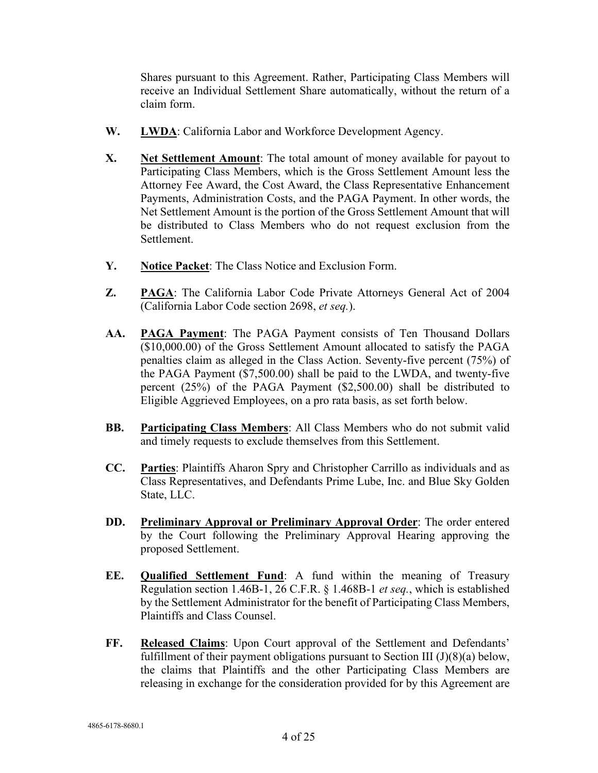Shares pursuant to this Agreement. Rather, Participating Class Members will receive an Individual Settlement Share automatically, without the return of a claim form.

- **W. LWDA**: California Labor and Workforce Development Agency.
- **X. Net Settlement Amount**: The total amount of money available for payout to Participating Class Members, which is the Gross Settlement Amount less the Attorney Fee Award, the Cost Award, the Class Representative Enhancement Payments, Administration Costs, and the PAGA Payment. In other words, the Net Settlement Amount is the portion of the Gross Settlement Amount that will be distributed to Class Members who do not request exclusion from the Settlement.
- **Y. Notice Packet**: The Class Notice and Exclusion Form.
- **Z. PAGA**: The California Labor Code Private Attorneys General Act of 2004 (California Labor Code section 2698, *et seq.*).
- **AA. PAGA Payment**: The PAGA Payment consists of Ten Thousand Dollars (\$10,000.00) of the Gross Settlement Amount allocated to satisfy the PAGA penalties claim as alleged in the Class Action. Seventy-five percent (75%) of the PAGA Payment (\$7,500.00) shall be paid to the LWDA, and twenty-five percent (25%) of the PAGA Payment (\$2,500.00) shall be distributed to Eligible Aggrieved Employees, on a pro rata basis, as set forth below.
- **BB. Participating Class Members**: All Class Members who do not submit valid and timely requests to exclude themselves from this Settlement.
- **CC. Parties**: Plaintiffs Aharon Spry and Christopher Carrillo as individuals and as Class Representatives, and Defendants Prime Lube, Inc. and Blue Sky Golden State, LLC.
- **DD. Preliminary Approval or Preliminary Approval Order**: The order entered by the Court following the Preliminary Approval Hearing approving the proposed Settlement.
- **EE. Qualified Settlement Fund**: A fund within the meaning of Treasury Regulation section 1.46B-1, 26 C.F.R. § 1.468B-1 *et seq.*, which is established by the Settlement Administrator for the benefit of Participating Class Members, Plaintiffs and Class Counsel.
- **FF. Released Claims**: Upon Court approval of the Settlement and Defendants' fulfillment of their payment obligations pursuant to Section III  $(J)(8)(a)$  below, the claims that Plaintiffs and the other Participating Class Members are releasing in exchange for the consideration provided for by this Agreement are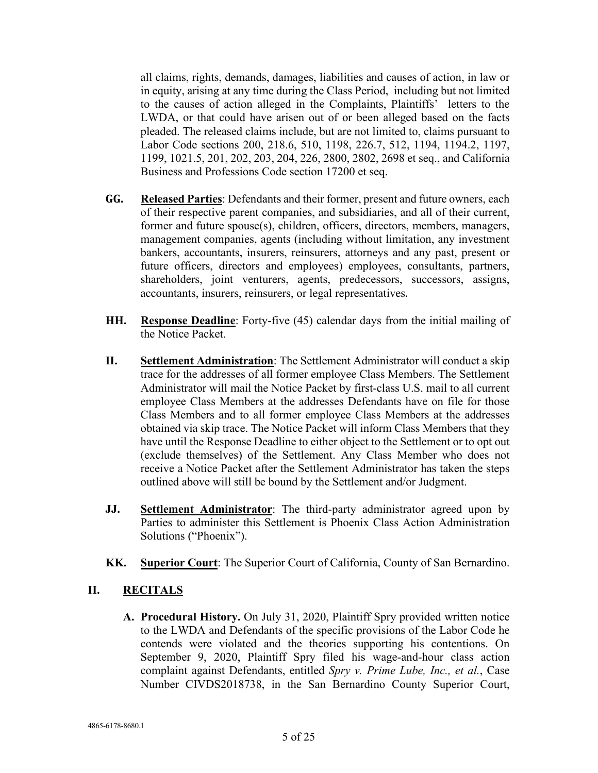all claims, rights, demands, damages, liabilities and causes of action, in law or in equity, arising at any time during the Class Period, including but not limited to the causes of action alleged in the Complaints, Plaintiffs' letters to the LWDA, or that could have arisen out of or been alleged based on the facts pleaded. The released claims include, but are not limited to, claims pursuant to Labor Code sections 200, 218.6, 510, 1198, 226.7, 512, 1194, 1194.2, 1197, 1199, 1021.5, 201, 202, 203, 204, 226, 2800, 2802, 2698 et seq., and California Business and Professions Code section 17200 et seq.

- **GG. Released Parties**: Defendants and their former, present and future owners, each of their respective parent companies, and subsidiaries, and all of their current, former and future spouse(s), children, officers, directors, members, managers, management companies, agents (including without limitation, any investment bankers, accountants, insurers, reinsurers, attorneys and any past, present or future officers, directors and employees) employees, consultants, partners, shareholders, joint venturers, agents, predecessors, successors, assigns, accountants, insurers, reinsurers, or legal representatives.
- **HH. Response Deadline**: Forty-five (45) calendar days from the initial mailing of the Notice Packet.
- **II. Settlement Administration**: The Settlement Administrator will conduct a skip trace for the addresses of all former employee Class Members. The Settlement Administrator will mail the Notice Packet by first-class U.S. mail to all current employee Class Members at the addresses Defendants have on file for those Class Members and to all former employee Class Members at the addresses obtained via skip trace. The Notice Packet will inform Class Members that they have until the Response Deadline to either object to the Settlement or to opt out (exclude themselves) of the Settlement. Any Class Member who does not receive a Notice Packet after the Settlement Administrator has taken the steps outlined above will still be bound by the Settlement and/or Judgment.
- **JJ. Settlement Administrator**: The third-party administrator agreed upon by Parties to administer this Settlement is Phoenix Class Action Administration Solutions ("Phoenix").
- **KK. Superior Court**: The Superior Court of California, County of San Bernardino.

## **II. RECITALS**

**A. Procedural History.** On July 31, 2020, Plaintiff Spry provided written notice to the LWDA and Defendants of the specific provisions of the Labor Code he contends were violated and the theories supporting his contentions. On September 9, 2020, Plaintiff Spry filed his wage-and-hour class action complaint against Defendants, entitled *Spry v. Prime Lube, Inc., et al.*, Case Number CIVDS2018738, in the San Bernardino County Superior Court,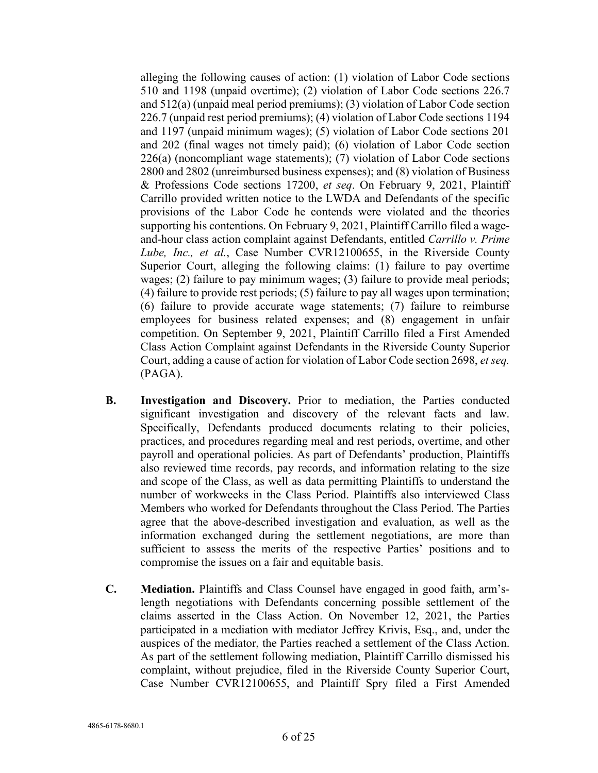alleging the following causes of action: (1) violation of Labor Code sections 510 and 1198 (unpaid overtime); (2) violation of Labor Code sections 226.7 and 512(a) (unpaid meal period premiums); (3) violation of Labor Code section 226.7 (unpaid rest period premiums); (4) violation of Labor Code sections 1194 and 1197 (unpaid minimum wages); (5) violation of Labor Code sections 201 and 202 (final wages not timely paid); (6) violation of Labor Code section 226(a) (noncompliant wage statements); (7) violation of Labor Code sections 2800 and 2802 (unreimbursed business expenses); and (8) violation of Business & Professions Code sections 17200, *et seq*. On February 9, 2021, Plaintiff Carrillo provided written notice to the LWDA and Defendants of the specific provisions of the Labor Code he contends were violated and the theories supporting his contentions. On February 9, 2021, Plaintiff Carrillo filed a wageand-hour class action complaint against Defendants, entitled *Carrillo v. Prime Lube, Inc., et al.*, Case Number CVR12100655, in the Riverside County Superior Court, alleging the following claims: (1) failure to pay overtime wages; (2) failure to pay minimum wages; (3) failure to provide meal periods; (4) failure to provide rest periods; (5) failure to pay all wages upon termination; (6) failure to provide accurate wage statements; (7) failure to reimburse employees for business related expenses; and (8) engagement in unfair competition. On September 9, 2021, Plaintiff Carrillo filed a First Amended Class Action Complaint against Defendants in the Riverside County Superior Court, adding a cause of action for violation of Labor Code section 2698, *et seq.* (PAGA).

- **B. Investigation and Discovery.** Prior to mediation, the Parties conducted significant investigation and discovery of the relevant facts and law. Specifically, Defendants produced documents relating to their policies, practices, and procedures regarding meal and rest periods, overtime, and other payroll and operational policies. As part of Defendants' production, Plaintiffs also reviewed time records, pay records, and information relating to the size and scope of the Class, as well as data permitting Plaintiffs to understand the number of workweeks in the Class Period. Plaintiffs also interviewed Class Members who worked for Defendants throughout the Class Period. The Parties agree that the above-described investigation and evaluation, as well as the information exchanged during the settlement negotiations, are more than sufficient to assess the merits of the respective Parties' positions and to compromise the issues on a fair and equitable basis.
- **C. Mediation.** Plaintiffs and Class Counsel have engaged in good faith, arm'slength negotiations with Defendants concerning possible settlement of the claims asserted in the Class Action. On November 12, 2021, the Parties participated in a mediation with mediator Jeffrey Krivis, Esq., and, under the auspices of the mediator, the Parties reached a settlement of the Class Action. As part of the settlement following mediation, Plaintiff Carrillo dismissed his complaint, without prejudice, filed in the Riverside County Superior Court, Case Number CVR12100655, and Plaintiff Spry filed a First Amended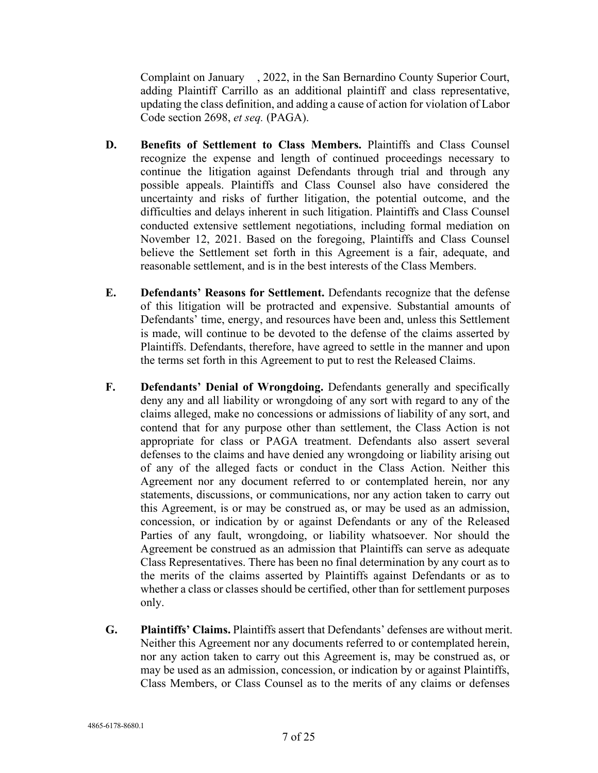Complaint on January , 2022, in the San Bernardino County Superior Court, adding Plaintiff Carrillo as an additional plaintiff and class representative, updating the class definition, and adding a cause of action for violation of Labor Code section 2698, *et seq.* (PAGA).

- **D. Benefits of Settlement to Class Members.** Plaintiffs and Class Counsel recognize the expense and length of continued proceedings necessary to continue the litigation against Defendants through trial and through any possible appeals. Plaintiffs and Class Counsel also have considered the uncertainty and risks of further litigation, the potential outcome, and the difficulties and delays inherent in such litigation. Plaintiffs and Class Counsel conducted extensive settlement negotiations, including formal mediation on November 12, 2021. Based on the foregoing, Plaintiffs and Class Counsel believe the Settlement set forth in this Agreement is a fair, adequate, and reasonable settlement, and is in the best interests of the Class Members.
- **E. Defendants' Reasons for Settlement.** Defendants recognize that the defense of this litigation will be protracted and expensive. Substantial amounts of Defendants' time, energy, and resources have been and, unless this Settlement is made, will continue to be devoted to the defense of the claims asserted by Plaintiffs. Defendants, therefore, have agreed to settle in the manner and upon the terms set forth in this Agreement to put to rest the Released Claims.
- **F. Defendants' Denial of Wrongdoing.** Defendants generally and specifically deny any and all liability or wrongdoing of any sort with regard to any of the claims alleged, make no concessions or admissions of liability of any sort, and contend that for any purpose other than settlement, the Class Action is not appropriate for class or PAGA treatment. Defendants also assert several defenses to the claims and have denied any wrongdoing or liability arising out of any of the alleged facts or conduct in the Class Action. Neither this Agreement nor any document referred to or contemplated herein, nor any statements, discussions, or communications, nor any action taken to carry out this Agreement, is or may be construed as, or may be used as an admission, concession, or indication by or against Defendants or any of the Released Parties of any fault, wrongdoing, or liability whatsoever. Nor should the Agreement be construed as an admission that Plaintiffs can serve as adequate Class Representatives. There has been no final determination by any court as to the merits of the claims asserted by Plaintiffs against Defendants or as to whether a class or classes should be certified, other than for settlement purposes only.
- **G. Plaintiffs' Claims.** Plaintiffs assert that Defendants' defenses are without merit. Neither this Agreement nor any documents referred to or contemplated herein, nor any action taken to carry out this Agreement is, may be construed as, or may be used as an admission, concession, or indication by or against Plaintiffs, Class Members, or Class Counsel as to the merits of any claims or defenses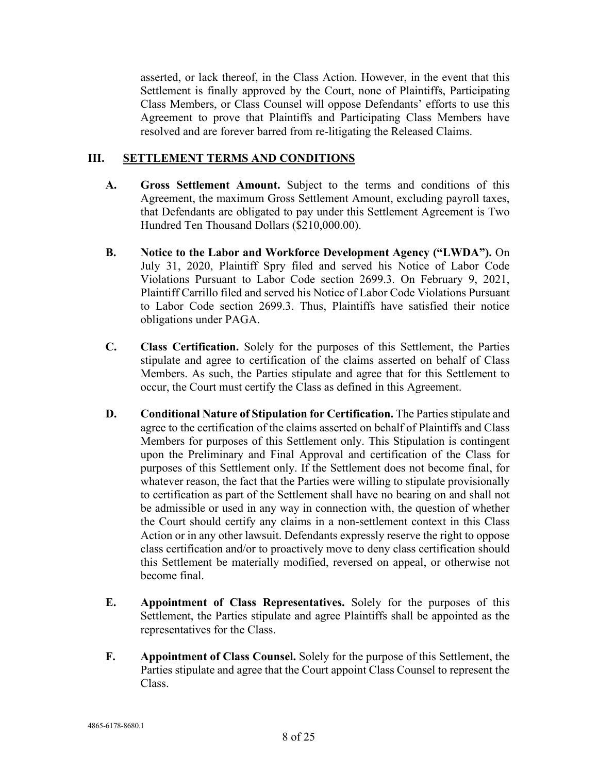asserted, or lack thereof, in the Class Action. However, in the event that this Settlement is finally approved by the Court, none of Plaintiffs, Participating Class Members, or Class Counsel will oppose Defendants' efforts to use this Agreement to prove that Plaintiffs and Participating Class Members have resolved and are forever barred from re-litigating the Released Claims.

## **III. SETTLEMENT TERMS AND CONDITIONS**

- **A. Gross Settlement Amount.** Subject to the terms and conditions of this Agreement, the maximum Gross Settlement Amount, excluding payroll taxes, that Defendants are obligated to pay under this Settlement Agreement is Two Hundred Ten Thousand Dollars (\$210,000.00).
- **B. Notice to the Labor and Workforce Development Agency ("LWDA").** On July 31, 2020, Plaintiff Spry filed and served his Notice of Labor Code Violations Pursuant to Labor Code section 2699.3. On February 9, 2021, Plaintiff Carrillo filed and served his Notice of Labor Code Violations Pursuant to Labor Code section 2699.3. Thus, Plaintiffs have satisfied their notice obligations under PAGA.
- **C. Class Certification.** Solely for the purposes of this Settlement, the Parties stipulate and agree to certification of the claims asserted on behalf of Class Members. As such, the Parties stipulate and agree that for this Settlement to occur, the Court must certify the Class as defined in this Agreement.
- **D. Conditional Nature of Stipulation for Certification.** The Parties stipulate and agree to the certification of the claims asserted on behalf of Plaintiffs and Class Members for purposes of this Settlement only. This Stipulation is contingent upon the Preliminary and Final Approval and certification of the Class for purposes of this Settlement only. If the Settlement does not become final, for whatever reason, the fact that the Parties were willing to stipulate provisionally to certification as part of the Settlement shall have no bearing on and shall not be admissible or used in any way in connection with, the question of whether the Court should certify any claims in a non-settlement context in this Class Action or in any other lawsuit. Defendants expressly reserve the right to oppose class certification and/or to proactively move to deny class certification should this Settlement be materially modified, reversed on appeal, or otherwise not become final.
- **E. Appointment of Class Representatives.** Solely for the purposes of this Settlement, the Parties stipulate and agree Plaintiffs shall be appointed as the representatives for the Class.
- **F. Appointment of Class Counsel.** Solely for the purpose of this Settlement, the Parties stipulate and agree that the Court appoint Class Counsel to represent the Class.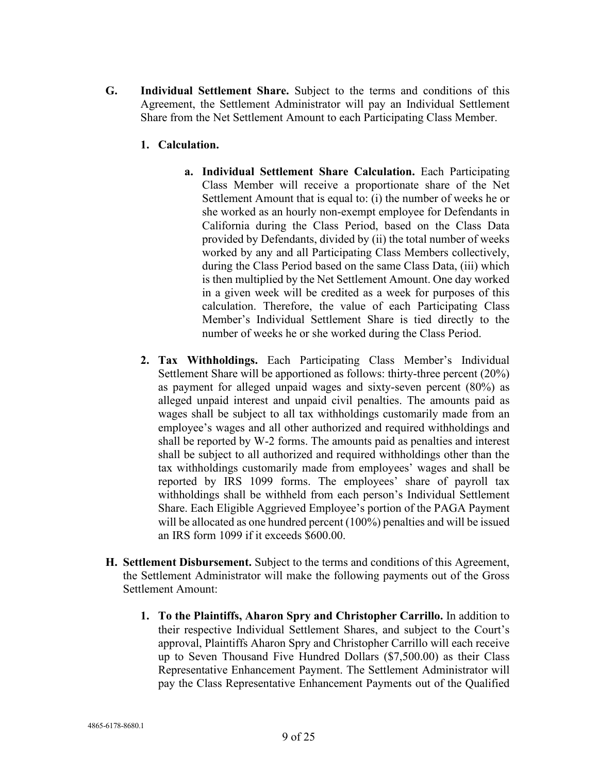- **G. Individual Settlement Share.** Subject to the terms and conditions of this Agreement, the Settlement Administrator will pay an Individual Settlement Share from the Net Settlement Amount to each Participating Class Member.
	- **1. Calculation.**
		- **a. Individual Settlement Share Calculation.** Each Participating Class Member will receive a proportionate share of the Net Settlement Amount that is equal to: (i) the number of weeks he or she worked as an hourly non-exempt employee for Defendants in California during the Class Period, based on the Class Data provided by Defendants, divided by (ii) the total number of weeks worked by any and all Participating Class Members collectively, during the Class Period based on the same Class Data, (iii) which is then multiplied by the Net Settlement Amount. One day worked in a given week will be credited as a week for purposes of this calculation. Therefore, the value of each Participating Class Member's Individual Settlement Share is tied directly to the number of weeks he or she worked during the Class Period.
	- **2. Tax Withholdings.** Each Participating Class Member's Individual Settlement Share will be apportioned as follows: thirty-three percent (20%) as payment for alleged unpaid wages and sixty-seven percent (80%) as alleged unpaid interest and unpaid civil penalties. The amounts paid as wages shall be subject to all tax withholdings customarily made from an employee's wages and all other authorized and required withholdings and shall be reported by W-2 forms. The amounts paid as penalties and interest shall be subject to all authorized and required withholdings other than the tax withholdings customarily made from employees' wages and shall be reported by IRS 1099 forms. The employees' share of payroll tax withholdings shall be withheld from each person's Individual Settlement Share. Each Eligible Aggrieved Employee's portion of the PAGA Payment will be allocated as one hundred percent (100%) penalties and will be issued an IRS form 1099 if it exceeds \$600.00.
- **H. Settlement Disbursement.** Subject to the terms and conditions of this Agreement, the Settlement Administrator will make the following payments out of the Gross Settlement Amount:
	- **1. To the Plaintiffs, Aharon Spry and Christopher Carrillo.** In addition to their respective Individual Settlement Shares, and subject to the Court's approval, Plaintiffs Aharon Spry and Christopher Carrillo will each receive up to Seven Thousand Five Hundred Dollars (\$7,500.00) as their Class Representative Enhancement Payment. The Settlement Administrator will pay the Class Representative Enhancement Payments out of the Qualified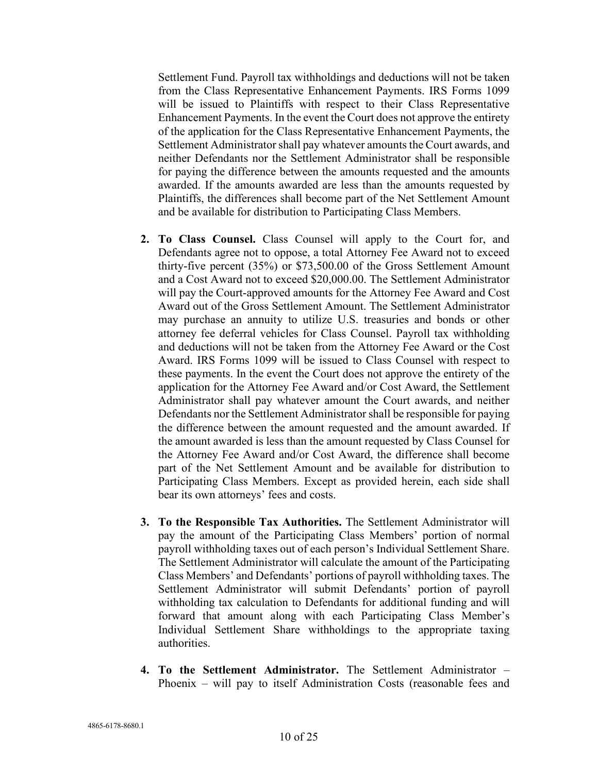Settlement Fund. Payroll tax withholdings and deductions will not be taken from the Class Representative Enhancement Payments. IRS Forms 1099 will be issued to Plaintiffs with respect to their Class Representative Enhancement Payments. In the event the Court does not approve the entirety of the application for the Class Representative Enhancement Payments, the Settlement Administrator shall pay whatever amounts the Court awards, and neither Defendants nor the Settlement Administrator shall be responsible for paying the difference between the amounts requested and the amounts awarded. If the amounts awarded are less than the amounts requested by Plaintiffs, the differences shall become part of the Net Settlement Amount and be available for distribution to Participating Class Members.

- **2. To Class Counsel.** Class Counsel will apply to the Court for, and Defendants agree not to oppose, a total Attorney Fee Award not to exceed thirty-five percent (35%) or \$73,500.00 of the Gross Settlement Amount and a Cost Award not to exceed \$20,000.00. The Settlement Administrator will pay the Court-approved amounts for the Attorney Fee Award and Cost Award out of the Gross Settlement Amount. The Settlement Administrator may purchase an annuity to utilize U.S. treasuries and bonds or other attorney fee deferral vehicles for Class Counsel. Payroll tax withholding and deductions will not be taken from the Attorney Fee Award or the Cost Award. IRS Forms 1099 will be issued to Class Counsel with respect to these payments. In the event the Court does not approve the entirety of the application for the Attorney Fee Award and/or Cost Award, the Settlement Administrator shall pay whatever amount the Court awards, and neither Defendants nor the Settlement Administrator shall be responsible for paying the difference between the amount requested and the amount awarded. If the amount awarded is less than the amount requested by Class Counsel for the Attorney Fee Award and/or Cost Award, the difference shall become part of the Net Settlement Amount and be available for distribution to Participating Class Members. Except as provided herein, each side shall bear its own attorneys' fees and costs.
- **3. To the Responsible Tax Authorities.** The Settlement Administrator will pay the amount of the Participating Class Members' portion of normal payroll withholding taxes out of each person's Individual Settlement Share. The Settlement Administrator will calculate the amount of the Participating Class Members' and Defendants' portions of payroll withholding taxes. The Settlement Administrator will submit Defendants' portion of payroll withholding tax calculation to Defendants for additional funding and will forward that amount along with each Participating Class Member's Individual Settlement Share withholdings to the appropriate taxing authorities.
- **4. To the Settlement Administrator.** The Settlement Administrator Phoenix – will pay to itself Administration Costs (reasonable fees and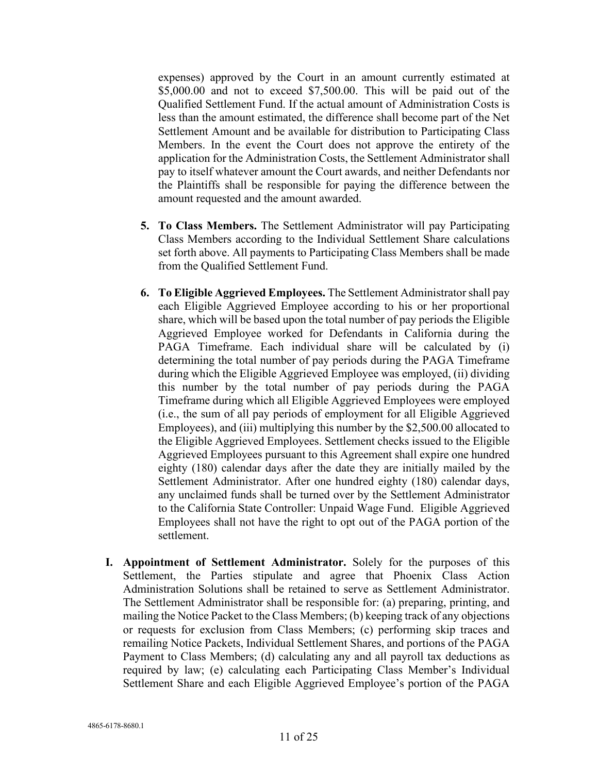expenses) approved by the Court in an amount currently estimated at \$5,000.00 and not to exceed \$7,500.00. This will be paid out of the Qualified Settlement Fund. If the actual amount of Administration Costs is less than the amount estimated, the difference shall become part of the Net Settlement Amount and be available for distribution to Participating Class Members. In the event the Court does not approve the entirety of the application for the Administration Costs, the Settlement Administrator shall pay to itself whatever amount the Court awards, and neither Defendants nor the Plaintiffs shall be responsible for paying the difference between the amount requested and the amount awarded.

- **5. To Class Members.** The Settlement Administrator will pay Participating Class Members according to the Individual Settlement Share calculations set forth above. All payments to Participating Class Members shall be made from the Qualified Settlement Fund.
- **6. To Eligible Aggrieved Employees.** The Settlement Administrator shall pay each Eligible Aggrieved Employee according to his or her proportional share, which will be based upon the total number of pay periods the Eligible Aggrieved Employee worked for Defendants in California during the PAGA Timeframe. Each individual share will be calculated by (i) determining the total number of pay periods during the PAGA Timeframe during which the Eligible Aggrieved Employee was employed, (ii) dividing this number by the total number of pay periods during the PAGA Timeframe during which all Eligible Aggrieved Employees were employed (i.e., the sum of all pay periods of employment for all Eligible Aggrieved Employees), and (iii) multiplying this number by the \$2,500.00 allocated to the Eligible Aggrieved Employees. Settlement checks issued to the Eligible Aggrieved Employees pursuant to this Agreement shall expire one hundred eighty (180) calendar days after the date they are initially mailed by the Settlement Administrator. After one hundred eighty (180) calendar days, any unclaimed funds shall be turned over by the Settlement Administrator to the California State Controller: Unpaid Wage Fund. Eligible Aggrieved Employees shall not have the right to opt out of the PAGA portion of the settlement.
- **I. Appointment of Settlement Administrator.** Solely for the purposes of this Settlement, the Parties stipulate and agree that Phoenix Class Action Administration Solutions shall be retained to serve as Settlement Administrator. The Settlement Administrator shall be responsible for: (a) preparing, printing, and mailing the Notice Packet to the Class Members; (b) keeping track of any objections or requests for exclusion from Class Members; (c) performing skip traces and remailing Notice Packets, Individual Settlement Shares, and portions of the PAGA Payment to Class Members; (d) calculating any and all payroll tax deductions as required by law; (e) calculating each Participating Class Member's Individual Settlement Share and each Eligible Aggrieved Employee's portion of the PAGA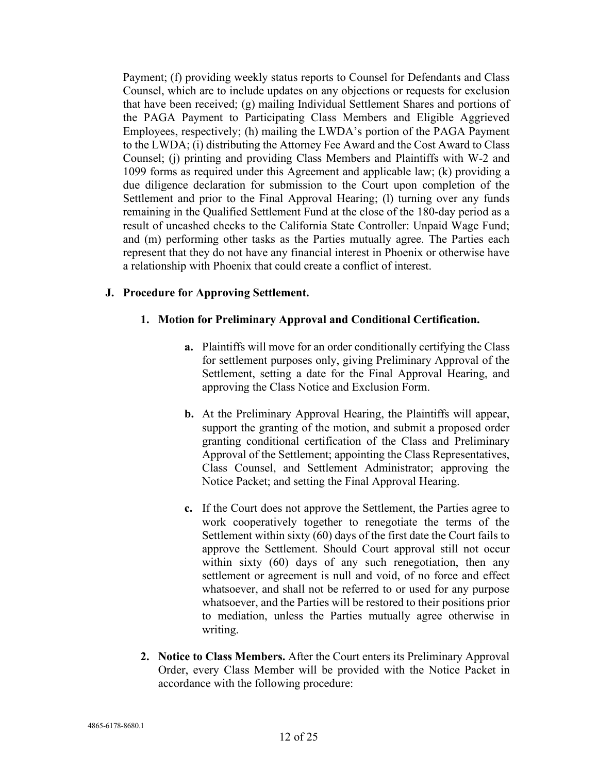Payment; (f) providing weekly status reports to Counsel for Defendants and Class Counsel, which are to include updates on any objections or requests for exclusion that have been received; (g) mailing Individual Settlement Shares and portions of the PAGA Payment to Participating Class Members and Eligible Aggrieved Employees, respectively; (h) mailing the LWDA's portion of the PAGA Payment to the LWDA; (i) distributing the Attorney Fee Award and the Cost Award to Class Counsel; (j) printing and providing Class Members and Plaintiffs with W-2 and 1099 forms as required under this Agreement and applicable law; (k) providing a due diligence declaration for submission to the Court upon completion of the Settlement and prior to the Final Approval Hearing; (l) turning over any funds remaining in the Qualified Settlement Fund at the close of the 180-day period as a result of uncashed checks to the California State Controller: Unpaid Wage Fund; and (m) performing other tasks as the Parties mutually agree. The Parties each represent that they do not have any financial interest in Phoenix or otherwise have a relationship with Phoenix that could create a conflict of interest.

## **J. Procedure for Approving Settlement.**

## **1. Motion for Preliminary Approval and Conditional Certification.**

- **a.** Plaintiffs will move for an order conditionally certifying the Class for settlement purposes only, giving Preliminary Approval of the Settlement, setting a date for the Final Approval Hearing, and approving the Class Notice and Exclusion Form.
- **b.** At the Preliminary Approval Hearing, the Plaintiffs will appear, support the granting of the motion, and submit a proposed order granting conditional certification of the Class and Preliminary Approval of the Settlement; appointing the Class Representatives, Class Counsel, and Settlement Administrator; approving the Notice Packet; and setting the Final Approval Hearing.
- **c.** If the Court does not approve the Settlement, the Parties agree to work cooperatively together to renegotiate the terms of the Settlement within sixty (60) days of the first date the Court fails to approve the Settlement. Should Court approval still not occur within sixty (60) days of any such renegotiation, then any settlement or agreement is null and void, of no force and effect whatsoever, and shall not be referred to or used for any purpose whatsoever, and the Parties will be restored to their positions prior to mediation, unless the Parties mutually agree otherwise in writing.
- **2. Notice to Class Members.** After the Court enters its Preliminary Approval Order, every Class Member will be provided with the Notice Packet in accordance with the following procedure: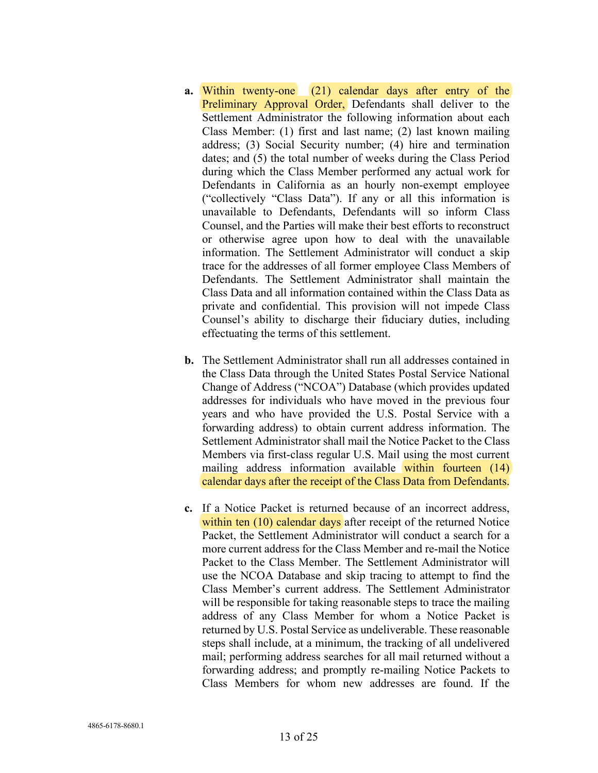- **a.** Within twenty-one (21) calendar days after entry of the Preliminary Approval Order, Defendants shall deliver to the Settlement Administrator the following information about each Class Member: (1) first and last name; (2) last known mailing address; (3) Social Security number; (4) hire and termination dates; and (5) the total number of weeks during the Class Period during which the Class Member performed any actual work for Defendants in California as an hourly non-exempt employee ("collectively "Class Data"). If any or all this information is unavailable to Defendants, Defendants will so inform Class Counsel, and the Parties will make their best efforts to reconstruct or otherwise agree upon how to deal with the unavailable information. The Settlement Administrator will conduct a skip trace for the addresses of all former employee Class Members of Defendants. The Settlement Administrator shall maintain the Class Data and all information contained within the Class Data as private and confidential. This provision will not impede Class Counsel's ability to discharge their fiduciary duties, including effectuating the terms of this settlement.
- **b.** The Settlement Administrator shall run all addresses contained in the Class Data through the United States Postal Service National Change of Address ("NCOA") Database (which provides updated addresses for individuals who have moved in the previous four years and who have provided the U.S. Postal Service with a forwarding address) to obtain current address information. The Settlement Administrator shall mail the Notice Packet to the Class Members via first-class regular U.S. Mail using the most current mailing address information available within fourteen (14) calendar days after the receipt of the Class Data from Defendants.
- **c.** If a Notice Packet is returned because of an incorrect address, within ten (10) calendar days after receipt of the returned Notice Packet, the Settlement Administrator will conduct a search for a more current address for the Class Member and re-mail the Notice Packet to the Class Member. The Settlement Administrator will use the NCOA Database and skip tracing to attempt to find the Class Member's current address. The Settlement Administrator will be responsible for taking reasonable steps to trace the mailing address of any Class Member for whom a Notice Packet is returned by U.S. Postal Service as undeliverable. These reasonable steps shall include, at a minimum, the tracking of all undelivered mail; performing address searches for all mail returned without a forwarding address; and promptly re-mailing Notice Packets to Class Members for whom new addresses are found. If the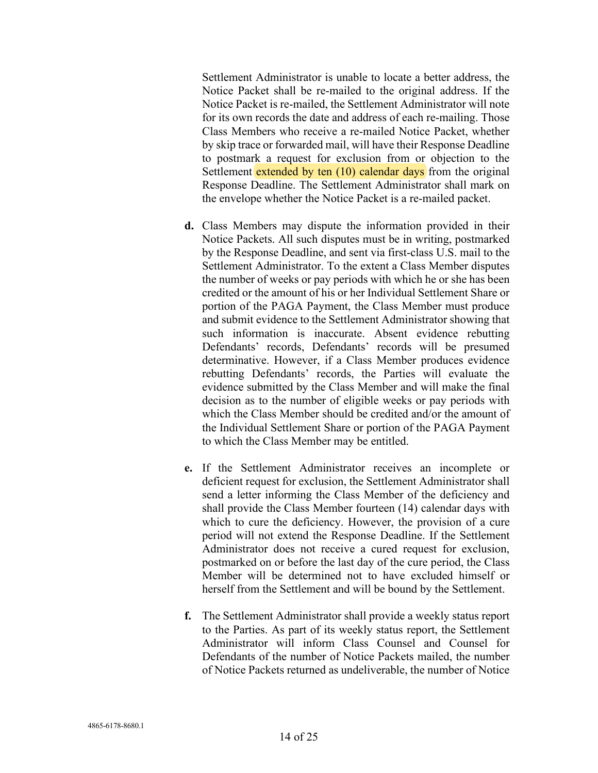Settlement Administrator is unable to locate a better address, the Notice Packet shall be re-mailed to the original address. If the Notice Packet is re-mailed, the Settlement Administrator will note for its own records the date and address of each re-mailing. Those Class Members who receive a re-mailed Notice Packet, whether by skip trace or forwarded mail, will have their Response Deadline to postmark a request for exclusion from or objection to the Settlement extended by ten (10) calendar days from the original Response Deadline. The Settlement Administrator shall mark on the envelope whether the Notice Packet is a re-mailed packet.

- **d.** Class Members may dispute the information provided in their Notice Packets. All such disputes must be in writing, postmarked by the Response Deadline, and sent via first-class U.S. mail to the Settlement Administrator. To the extent a Class Member disputes the number of weeks or pay periods with which he or she has been credited or the amount of his or her Individual Settlement Share or portion of the PAGA Payment, the Class Member must produce and submit evidence to the Settlement Administrator showing that such information is inaccurate. Absent evidence rebutting Defendants' records, Defendants' records will be presumed determinative. However, if a Class Member produces evidence rebutting Defendants' records, the Parties will evaluate the evidence submitted by the Class Member and will make the final decision as to the number of eligible weeks or pay periods with which the Class Member should be credited and/or the amount of the Individual Settlement Share or portion of the PAGA Payment to which the Class Member may be entitled.
- **e.** If the Settlement Administrator receives an incomplete or deficient request for exclusion, the Settlement Administrator shall send a letter informing the Class Member of the deficiency and shall provide the Class Member fourteen (14) calendar days with which to cure the deficiency. However, the provision of a cure period will not extend the Response Deadline. If the Settlement Administrator does not receive a cured request for exclusion, postmarked on or before the last day of the cure period, the Class Member will be determined not to have excluded himself or herself from the Settlement and will be bound by the Settlement.
- **f.** The Settlement Administrator shall provide a weekly status report to the Parties. As part of its weekly status report, the Settlement Administrator will inform Class Counsel and Counsel for Defendants of the number of Notice Packets mailed, the number of Notice Packets returned as undeliverable, the number of Notice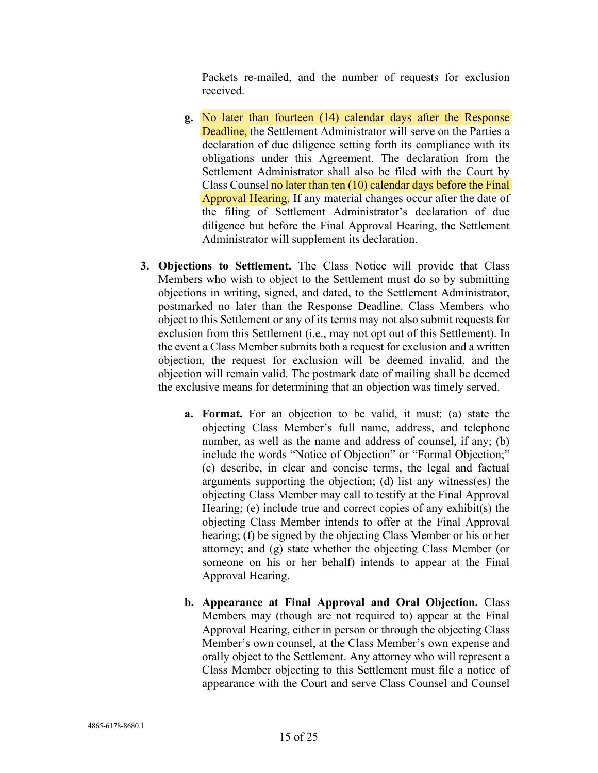Packets re-mailed, and the number of requests for exclusion received.

- **g.** No later than fourteen (14) calendar days after the Response Deadline, the Settlement Administrator will serve on the Parties a declaration of due diligence setting forth its compliance with its obligations under this Agreement. The declaration from the Settlement Administrator shall also be filed with the Court by Class Counsel no later than ten (10) calendar days before the Final Approval Hearing. If any material changes occur after the date of the filing of Settlement Administrator's declaration of due diligence but before the Final Approval Hearing, the Settlement Administrator will supplement its declaration.
- **3. Objections to Settlement.** The Class Notice will provide that Class Members who wish to object to the Settlement must do so by submitting objections in writing, signed, and dated, to the Settlement Administrator, postmarked no later than the Response Deadline. Class Members who object to this Settlement or any of its terms may not also submit requests for exclusion from this Settlement (i.e., may not opt out of this Settlement). In the event a Class Member submits both a request for exclusion and a written objection, the request for exclusion will be deemed invalid, and the objection will remain valid. The postmark date of mailing shall be deemed the exclusive means for determining that an objection was timely served.
	- **a. Format.** For an objection to be valid, it must: (a) state the objecting Class Member's full name, address, and telephone number, as well as the name and address of counsel, if any; (b) include the words "Notice of Objection" or "Formal Objection;" (c) describe, in clear and concise terms, the legal and factual arguments supporting the objection; (d) list any witness(es) the objecting Class Member may call to testify at the Final Approval Hearing; (e) include true and correct copies of any exhibit(s) the objecting Class Member intends to offer at the Final Approval hearing; (f) be signed by the objecting Class Member or his or her attorney; and (g) state whether the objecting Class Member (or someone on his or her behalf) intends to appear at the Final Approval Hearing.
	- **b. Appearance at Final Approval and Oral Objection.** Class Members may (though are not required to) appear at the Final Approval Hearing, either in person or through the objecting Class Member's own counsel, at the Class Member's own expense and orally object to the Settlement. Any attorney who will represent a Class Member objecting to this Settlement must file a notice of appearance with the Court and serve Class Counsel and Counsel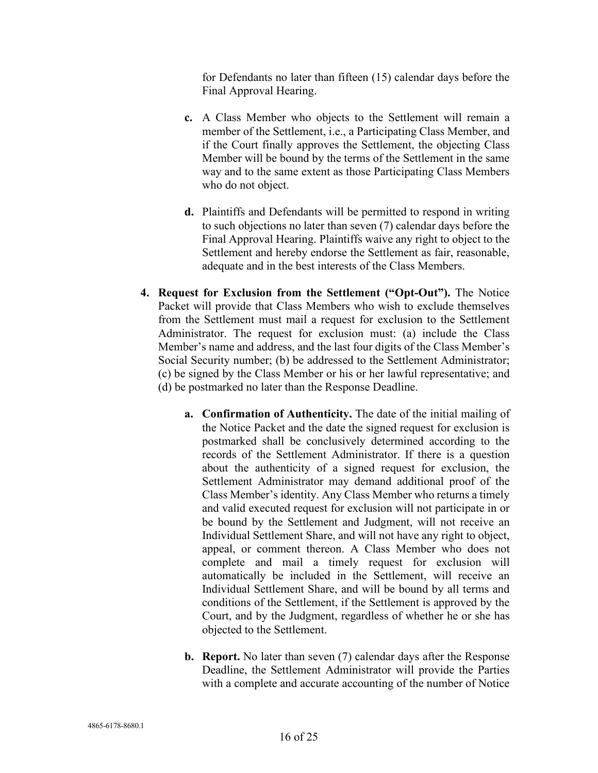for Defendants no later than fifteen (15) calendar days before the Final Approval Hearing.

- **c.** A Class Member who objects to the Settlement will remain a member of the Settlement, i.e., a Participating Class Member, and if the Court finally approves the Settlement, the objecting Class Member will be bound by the terms of the Settlement in the same way and to the same extent as those Participating Class Members who do not object.
- **d.** Plaintiffs and Defendants will be permitted to respond in writing to such objections no later than seven (7) calendar days before the Final Approval Hearing. Plaintiffs waive any right to object to the Settlement and hereby endorse the Settlement as fair, reasonable, adequate and in the best interests of the Class Members.
- **4. Request for Exclusion from the Settlement ("Opt-Out").** The Notice Packet will provide that Class Members who wish to exclude themselves from the Settlement must mail a request for exclusion to the Settlement Administrator. The request for exclusion must: (a) include the Class Member's name and address, and the last four digits of the Class Member's Social Security number; (b) be addressed to the Settlement Administrator; (c) be signed by the Class Member or his or her lawful representative; and (d) be postmarked no later than the Response Deadline.
	- **a. Confirmation of Authenticity.** The date of the initial mailing of the Notice Packet and the date the signed request for exclusion is postmarked shall be conclusively determined according to the records of the Settlement Administrator. If there is a question about the authenticity of a signed request for exclusion, the Settlement Administrator may demand additional proof of the Class Member's identity. Any Class Member who returns a timely and valid executed request for exclusion will not participate in or be bound by the Settlement and Judgment, will not receive an Individual Settlement Share, and will not have any right to object, appeal, or comment thereon. A Class Member who does not complete and mail a timely request for exclusion will automatically be included in the Settlement, will receive an Individual Settlement Share, and will be bound by all terms and conditions of the Settlement, if the Settlement is approved by the Court, and by the Judgment, regardless of whether he or she has objected to the Settlement.
	- **b. Report.** No later than seven (7) calendar days after the Response Deadline, the Settlement Administrator will provide the Parties with a complete and accurate accounting of the number of Notice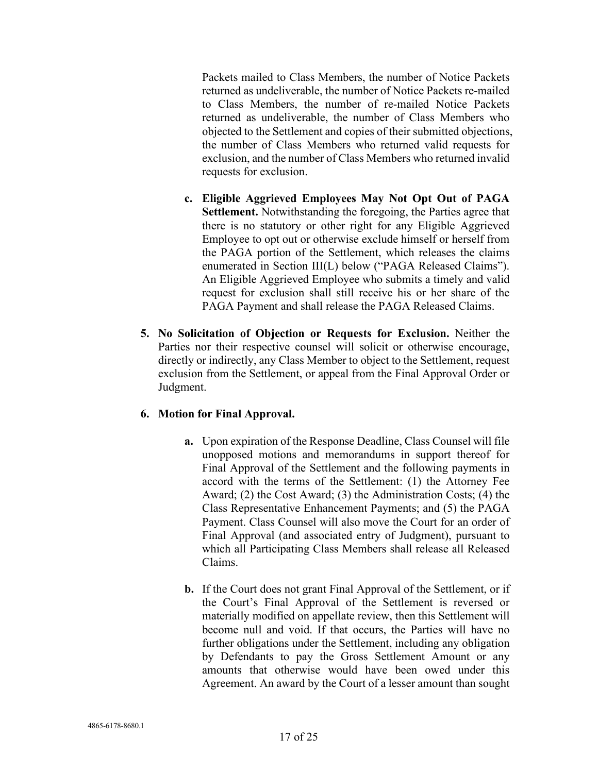Packets mailed to Class Members, the number of Notice Packets returned as undeliverable, the number of Notice Packets re-mailed to Class Members, the number of re-mailed Notice Packets returned as undeliverable, the number of Class Members who objected to the Settlement and copies of their submitted objections, the number of Class Members who returned valid requests for exclusion, and the number of Class Members who returned invalid requests for exclusion.

- **c. Eligible Aggrieved Employees May Not Opt Out of PAGA Settlement.** Notwithstanding the foregoing, the Parties agree that there is no statutory or other right for any Eligible Aggrieved Employee to opt out or otherwise exclude himself or herself from the PAGA portion of the Settlement, which releases the claims enumerated in Section III(L) below ("PAGA Released Claims"). An Eligible Aggrieved Employee who submits a timely and valid request for exclusion shall still receive his or her share of the PAGA Payment and shall release the PAGA Released Claims.
- **5. No Solicitation of Objection or Requests for Exclusion.** Neither the Parties nor their respective counsel will solicit or otherwise encourage, directly or indirectly, any Class Member to object to the Settlement, request exclusion from the Settlement, or appeal from the Final Approval Order or Judgment.

## **6. Motion for Final Approval.**

- **a.** Upon expiration of the Response Deadline, Class Counsel will file unopposed motions and memorandums in support thereof for Final Approval of the Settlement and the following payments in accord with the terms of the Settlement: (1) the Attorney Fee Award; (2) the Cost Award; (3) the Administration Costs; (4) the Class Representative Enhancement Payments; and (5) the PAGA Payment. Class Counsel will also move the Court for an order of Final Approval (and associated entry of Judgment), pursuant to which all Participating Class Members shall release all Released Claims.
- **b.** If the Court does not grant Final Approval of the Settlement, or if the Court's Final Approval of the Settlement is reversed or materially modified on appellate review, then this Settlement will become null and void. If that occurs, the Parties will have no further obligations under the Settlement, including any obligation by Defendants to pay the Gross Settlement Amount or any amounts that otherwise would have been owed under this Agreement. An award by the Court of a lesser amount than sought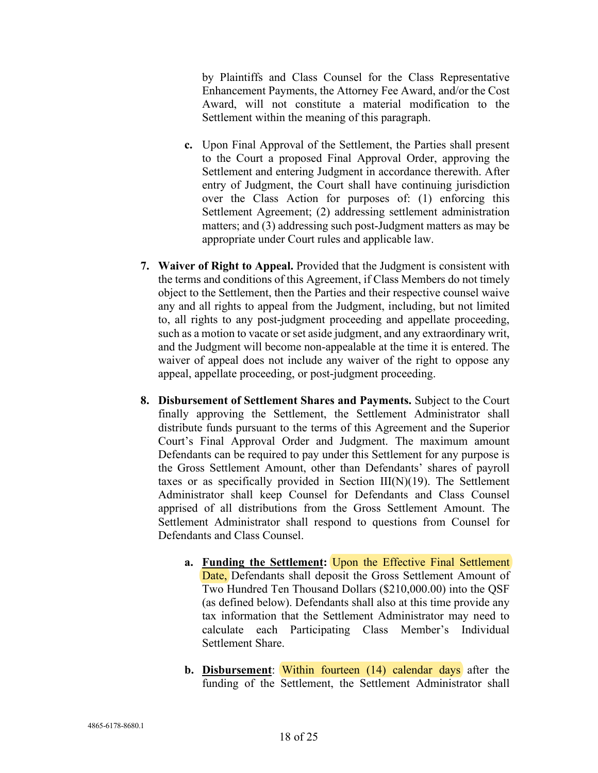by Plaintiffs and Class Counsel for the Class Representative Enhancement Payments, the Attorney Fee Award, and/or the Cost Award, will not constitute a material modification to the Settlement within the meaning of this paragraph.

- **c.** Upon Final Approval of the Settlement, the Parties shall present to the Court a proposed Final Approval Order, approving the Settlement and entering Judgment in accordance therewith. After entry of Judgment, the Court shall have continuing jurisdiction over the Class Action for purposes of: (1) enforcing this Settlement Agreement; (2) addressing settlement administration matters; and (3) addressing such post-Judgment matters as may be appropriate under Court rules and applicable law.
- **7. Waiver of Right to Appeal.** Provided that the Judgment is consistent with the terms and conditions of this Agreement, if Class Members do not timely object to the Settlement, then the Parties and their respective counsel waive any and all rights to appeal from the Judgment, including, but not limited to, all rights to any post-judgment proceeding and appellate proceeding, such as a motion to vacate or set aside judgment, and any extraordinary writ, and the Judgment will become non-appealable at the time it is entered. The waiver of appeal does not include any waiver of the right to oppose any appeal, appellate proceeding, or post-judgment proceeding.
- **8. Disbursement of Settlement Shares and Payments.** Subject to the Court finally approving the Settlement, the Settlement Administrator shall distribute funds pursuant to the terms of this Agreement and the Superior Court's Final Approval Order and Judgment. The maximum amount Defendants can be required to pay under this Settlement for any purpose is the Gross Settlement Amount, other than Defendants' shares of payroll taxes or as specifically provided in Section  $III(N)(19)$ . The Settlement Administrator shall keep Counsel for Defendants and Class Counsel apprised of all distributions from the Gross Settlement Amount. The Settlement Administrator shall respond to questions from Counsel for Defendants and Class Counsel.
	- **a. Funding the Settlement:** Upon the Effective Final Settlement Date, Defendants shall deposit the Gross Settlement Amount of Two Hundred Ten Thousand Dollars (\$210,000.00) into the QSF (as defined below). Defendants shall also at this time provide any tax information that the Settlement Administrator may need to calculate each Participating Class Member's Individual Settlement Share.
	- **b. Disbursement**: Within fourteen (14) calendar days after the funding of the Settlement, the Settlement Administrator shall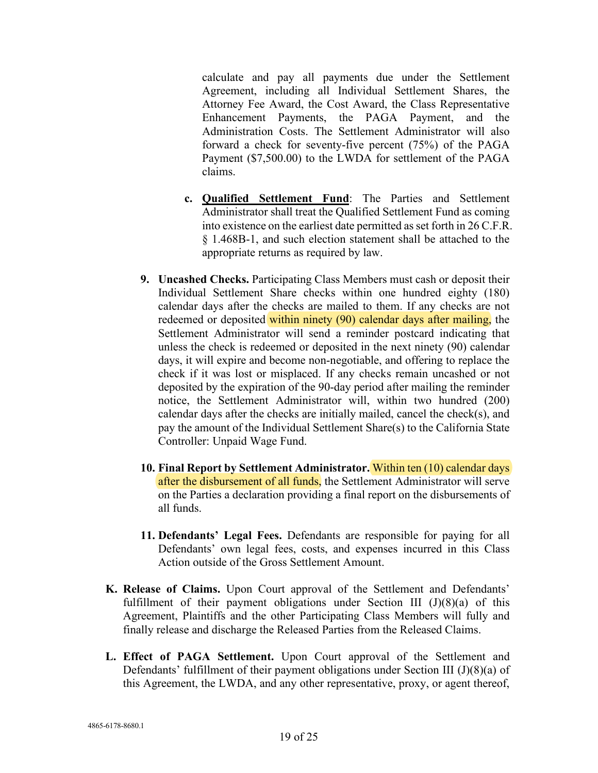calculate and pay all payments due under the Settlement Agreement, including all Individual Settlement Shares, the Attorney Fee Award, the Cost Award, the Class Representative Enhancement Payments, the PAGA Payment, and the Administration Costs. The Settlement Administrator will also forward a check for seventy-five percent (75%) of the PAGA Payment (\$7,500.00) to the LWDA for settlement of the PAGA claims.

- **c. Qualified Settlement Fund**: The Parties and Settlement Administrator shall treat the Qualified Settlement Fund as coming into existence on the earliest date permitted as set forth in 26 C.F.R. § 1.468B-1, and such election statement shall be attached to the appropriate returns as required by law.
- **9. Uncashed Checks.** Participating Class Members must cash or deposit their Individual Settlement Share checks within one hundred eighty (180) calendar days after the checks are mailed to them. If any checks are not redeemed or deposited within ninety (90) calendar days after mailing, the Settlement Administrator will send a reminder postcard indicating that unless the check is redeemed or deposited in the next ninety (90) calendar days, it will expire and become non-negotiable, and offering to replace the check if it was lost or misplaced. If any checks remain uncashed or not deposited by the expiration of the 90-day period after mailing the reminder notice, the Settlement Administrator will, within two hundred (200) calendar days after the checks are initially mailed, cancel the check(s), and pay the amount of the Individual Settlement Share(s) to the California State Controller: Unpaid Wage Fund.
- **10. Final Report by Settlement Administrator.** Within ten (10) calendar days after the disbursement of all funds, the Settlement Administrator will serve on the Parties a declaration providing a final report on the disbursements of all funds.
- **11. Defendants' Legal Fees.** Defendants are responsible for paying for all Defendants' own legal fees, costs, and expenses incurred in this Class Action outside of the Gross Settlement Amount.
- **K. Release of Claims.** Upon Court approval of the Settlement and Defendants' fulfillment of their payment obligations under Section III  $(J)(8)(a)$  of this Agreement, Plaintiffs and the other Participating Class Members will fully and finally release and discharge the Released Parties from the Released Claims.
- **L. Effect of PAGA Settlement.** Upon Court approval of the Settlement and Defendants' fulfillment of their payment obligations under Section III (J)(8)(a) of this Agreement, the LWDA, and any other representative, proxy, or agent thereof,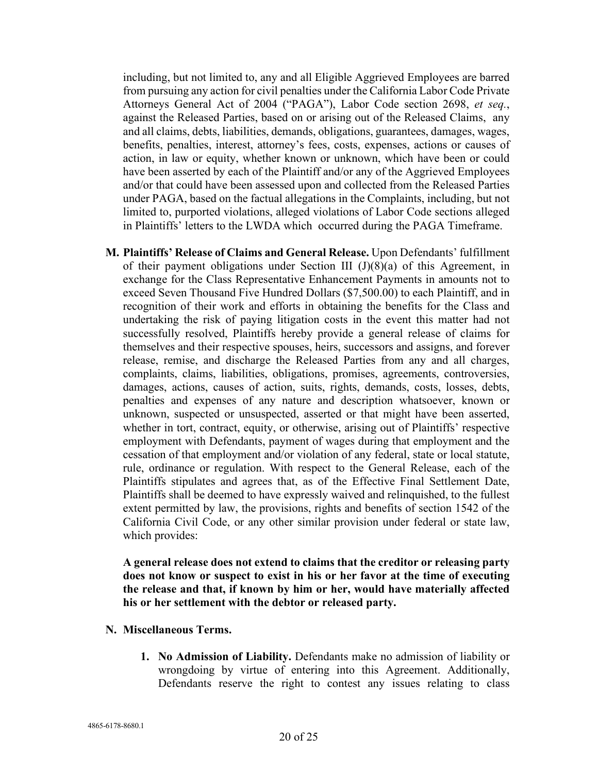including, but not limited to, any and all Eligible Aggrieved Employees are barred from pursuing any action for civil penalties under the California Labor Code Private Attorneys General Act of 2004 ("PAGA"), Labor Code section 2698, *et seq.*, against the Released Parties, based on or arising out of the Released Claims, any and all claims, debts, liabilities, demands, obligations, guarantees, damages, wages, benefits, penalties, interest, attorney's fees, costs, expenses, actions or causes of action, in law or equity, whether known or unknown, which have been or could have been asserted by each of the Plaintiff and/or any of the Aggrieved Employees and/or that could have been assessed upon and collected from the Released Parties under PAGA, based on the factual allegations in the Complaints, including, but not limited to, purported violations, alleged violations of Labor Code sections alleged in Plaintiffs' letters to the LWDA which occurred during the PAGA Timeframe.

**M. Plaintiffs' Release of Claims and General Release.** Upon Defendants' fulfillment of their payment obligations under Section III  $(J)(8)(a)$  of this Agreement, in exchange for the Class Representative Enhancement Payments in amounts not to exceed Seven Thousand Five Hundred Dollars (\$7,500.00) to each Plaintiff, and in recognition of their work and efforts in obtaining the benefits for the Class and undertaking the risk of paying litigation costs in the event this matter had not successfully resolved, Plaintiffs hereby provide a general release of claims for themselves and their respective spouses, heirs, successors and assigns, and forever release, remise, and discharge the Released Parties from any and all charges, complaints, claims, liabilities, obligations, promises, agreements, controversies, damages, actions, causes of action, suits, rights, demands, costs, losses, debts, penalties and expenses of any nature and description whatsoever, known or unknown, suspected or unsuspected, asserted or that might have been asserted, whether in tort, contract, equity, or otherwise, arising out of Plaintiffs' respective employment with Defendants, payment of wages during that employment and the cessation of that employment and/or violation of any federal, state or local statute, rule, ordinance or regulation. With respect to the General Release, each of the Plaintiffs stipulates and agrees that, as of the Effective Final Settlement Date, Plaintiffs shall be deemed to have expressly waived and relinquished, to the fullest extent permitted by law, the provisions, rights and benefits of section 1542 of the California Civil Code, or any other similar provision under federal or state law, which provides:

**A general release does not extend to claims that the creditor or releasing party does not know or suspect to exist in his or her favor at the time of executing the release and that, if known by him or her, would have materially affected his or her settlement with the debtor or released party.**

- **N. Miscellaneous Terms.** 
	- **1. No Admission of Liability.** Defendants make no admission of liability or wrongdoing by virtue of entering into this Agreement. Additionally, Defendants reserve the right to contest any issues relating to class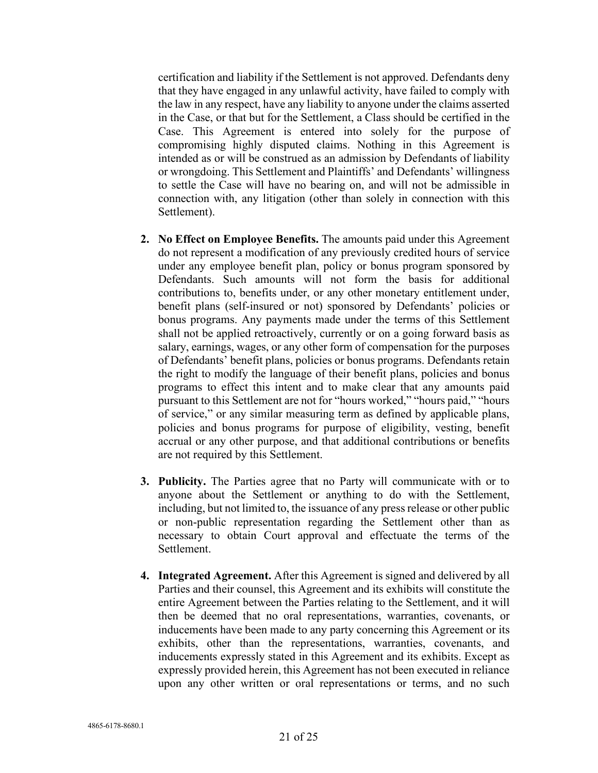certification and liability if the Settlement is not approved. Defendants deny that they have engaged in any unlawful activity, have failed to comply with the law in any respect, have any liability to anyone under the claims asserted in the Case, or that but for the Settlement, a Class should be certified in the Case. This Agreement is entered into solely for the purpose of compromising highly disputed claims. Nothing in this Agreement is intended as or will be construed as an admission by Defendants of liability or wrongdoing. This Settlement and Plaintiffs' and Defendants' willingness to settle the Case will have no bearing on, and will not be admissible in connection with, any litigation (other than solely in connection with this Settlement).

- **2. No Effect on Employee Benefits.** The amounts paid under this Agreement do not represent a modification of any previously credited hours of service under any employee benefit plan, policy or bonus program sponsored by Defendants. Such amounts will not form the basis for additional contributions to, benefits under, or any other monetary entitlement under, benefit plans (self-insured or not) sponsored by Defendants' policies or bonus programs. Any payments made under the terms of this Settlement shall not be applied retroactively, currently or on a going forward basis as salary, earnings, wages, or any other form of compensation for the purposes of Defendants' benefit plans, policies or bonus programs. Defendants retain the right to modify the language of their benefit plans, policies and bonus programs to effect this intent and to make clear that any amounts paid pursuant to this Settlement are not for "hours worked," "hours paid," "hours of service," or any similar measuring term as defined by applicable plans, policies and bonus programs for purpose of eligibility, vesting, benefit accrual or any other purpose, and that additional contributions or benefits are not required by this Settlement.
- **3. Publicity.** The Parties agree that no Party will communicate with or to anyone about the Settlement or anything to do with the Settlement, including, but not limited to, the issuance of any press release or other public or non-public representation regarding the Settlement other than as necessary to obtain Court approval and effectuate the terms of the Settlement.
- **4. Integrated Agreement.** After this Agreement is signed and delivered by all Parties and their counsel, this Agreement and its exhibits will constitute the entire Agreement between the Parties relating to the Settlement, and it will then be deemed that no oral representations, warranties, covenants, or inducements have been made to any party concerning this Agreement or its exhibits, other than the representations, warranties, covenants, and inducements expressly stated in this Agreement and its exhibits. Except as expressly provided herein, this Agreement has not been executed in reliance upon any other written or oral representations or terms, and no such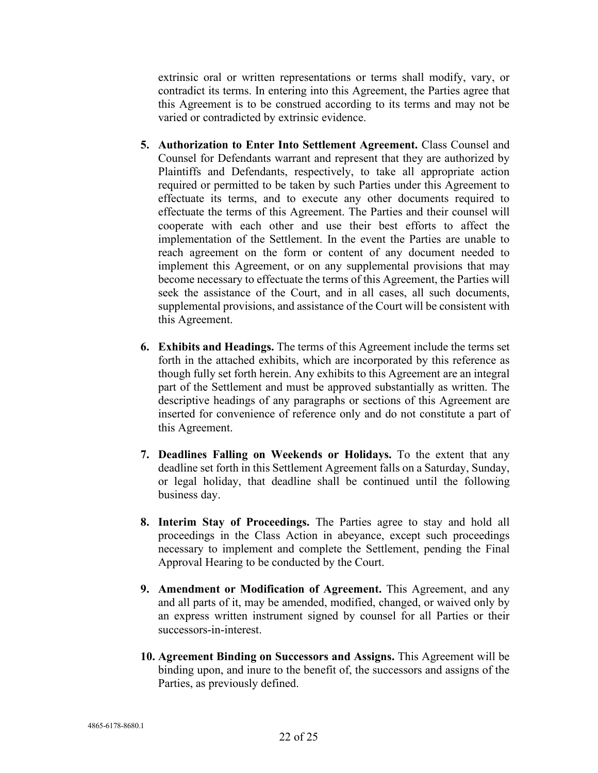extrinsic oral or written representations or terms shall modify, vary, or contradict its terms. In entering into this Agreement, the Parties agree that this Agreement is to be construed according to its terms and may not be varied or contradicted by extrinsic evidence.

- **5. Authorization to Enter Into Settlement Agreement.** Class Counsel and Counsel for Defendants warrant and represent that they are authorized by Plaintiffs and Defendants, respectively, to take all appropriate action required or permitted to be taken by such Parties under this Agreement to effectuate its terms, and to execute any other documents required to effectuate the terms of this Agreement. The Parties and their counsel will cooperate with each other and use their best efforts to affect the implementation of the Settlement. In the event the Parties are unable to reach agreement on the form or content of any document needed to implement this Agreement, or on any supplemental provisions that may become necessary to effectuate the terms of this Agreement, the Parties will seek the assistance of the Court, and in all cases, all such documents, supplemental provisions, and assistance of the Court will be consistent with this Agreement.
- **6. Exhibits and Headings.** The terms of this Agreement include the terms set forth in the attached exhibits, which are incorporated by this reference as though fully set forth herein. Any exhibits to this Agreement are an integral part of the Settlement and must be approved substantially as written. The descriptive headings of any paragraphs or sections of this Agreement are inserted for convenience of reference only and do not constitute a part of this Agreement.
- **7. Deadlines Falling on Weekends or Holidays.** To the extent that any deadline set forth in this Settlement Agreement falls on a Saturday, Sunday, or legal holiday, that deadline shall be continued until the following business day.
- **8. Interim Stay of Proceedings.** The Parties agree to stay and hold all proceedings in the Class Action in abeyance, except such proceedings necessary to implement and complete the Settlement, pending the Final Approval Hearing to be conducted by the Court.
- **9. Amendment or Modification of Agreement.** This Agreement, and any and all parts of it, may be amended, modified, changed, or waived only by an express written instrument signed by counsel for all Parties or their successors-in-interest.
- **10. Agreement Binding on Successors and Assigns.** This Agreement will be binding upon, and inure to the benefit of, the successors and assigns of the Parties, as previously defined.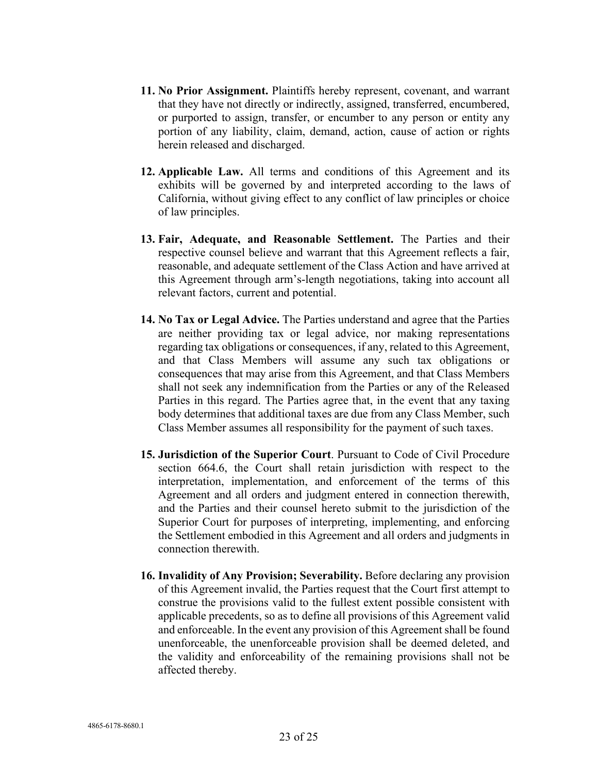- **11. No Prior Assignment.** Plaintiffs hereby represent, covenant, and warrant that they have not directly or indirectly, assigned, transferred, encumbered, or purported to assign, transfer, or encumber to any person or entity any portion of any liability, claim, demand, action, cause of action or rights herein released and discharged.
- **12. Applicable Law.** All terms and conditions of this Agreement and its exhibits will be governed by and interpreted according to the laws of California, without giving effect to any conflict of law principles or choice of law principles.
- **13. Fair, Adequate, and Reasonable Settlement.** The Parties and their respective counsel believe and warrant that this Agreement reflects a fair, reasonable, and adequate settlement of the Class Action and have arrived at this Agreement through arm's-length negotiations, taking into account all relevant factors, current and potential.
- **14. No Tax or Legal Advice.** The Parties understand and agree that the Parties are neither providing tax or legal advice, nor making representations regarding tax obligations or consequences, if any, related to this Agreement, and that Class Members will assume any such tax obligations or consequences that may arise from this Agreement, and that Class Members shall not seek any indemnification from the Parties or any of the Released Parties in this regard. The Parties agree that, in the event that any taxing body determines that additional taxes are due from any Class Member, such Class Member assumes all responsibility for the payment of such taxes.
- **15. Jurisdiction of the Superior Court**. Pursuant to Code of Civil Procedure section 664.6, the Court shall retain jurisdiction with respect to the interpretation, implementation, and enforcement of the terms of this Agreement and all orders and judgment entered in connection therewith, and the Parties and their counsel hereto submit to the jurisdiction of the Superior Court for purposes of interpreting, implementing, and enforcing the Settlement embodied in this Agreement and all orders and judgments in connection therewith.
- **16. Invalidity of Any Provision; Severability.** Before declaring any provision of this Agreement invalid, the Parties request that the Court first attempt to construe the provisions valid to the fullest extent possible consistent with applicable precedents, so as to define all provisions of this Agreement valid and enforceable. In the event any provision of this Agreement shall be found unenforceable, the unenforceable provision shall be deemed deleted, and the validity and enforceability of the remaining provisions shall not be affected thereby.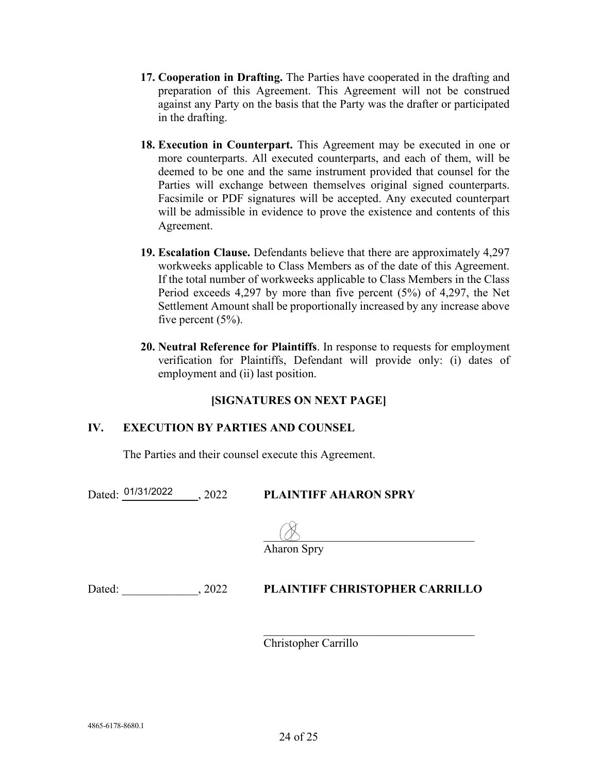- **17. Cooperation in Drafting.** The Parties have cooperated in the drafting and preparation of this Agreement. This Agreement will not be construed against any Party on the basis that the Party was the drafter or participated in the drafting.
- **18. Execution in Counterpart.** This Agreement may be executed in one or more counterparts. All executed counterparts, and each of them, will be deemed to be one and the same instrument provided that counsel for the Parties will exchange between themselves original signed counterparts. Facsimile or PDF signatures will be accepted. Any executed counterpart will be admissible in evidence to prove the existence and contents of this Agreement.
- **19. Escalation Clause.** Defendants believe that there are approximately 4,297 workweeks applicable to Class Members as of the date of this Agreement. If the total number of workweeks applicable to Class Members in the Class Period exceeds 4,297 by more than five percent (5%) of 4,297, the Net Settlement Amount shall be proportionally increased by any increase above five percent  $(5\%)$ .
- **20. Neutral Reference for Plaintiffs**. In response to requests for employment verification for Plaintiffs, Defendant will provide only: (i) dates of employment and (ii) last position.

## **[SIGNATURES ON NEXT PAGE]**

## **IV. EXECUTION BY PARTIES AND COUNSEL**

The Parties and their counsel execute this Agreement.

Dated: <sup>01/31/2022</sup> ..., 2022 PLAINTIFF AHARON SPRY

 $\Box$ 

Aharon Spry

## Dated: \_\_\_\_\_\_\_\_\_\_\_\_\_, 2022 **PLAINTIFF CHRISTOPHER CARRILLO**

Christopher Carrillo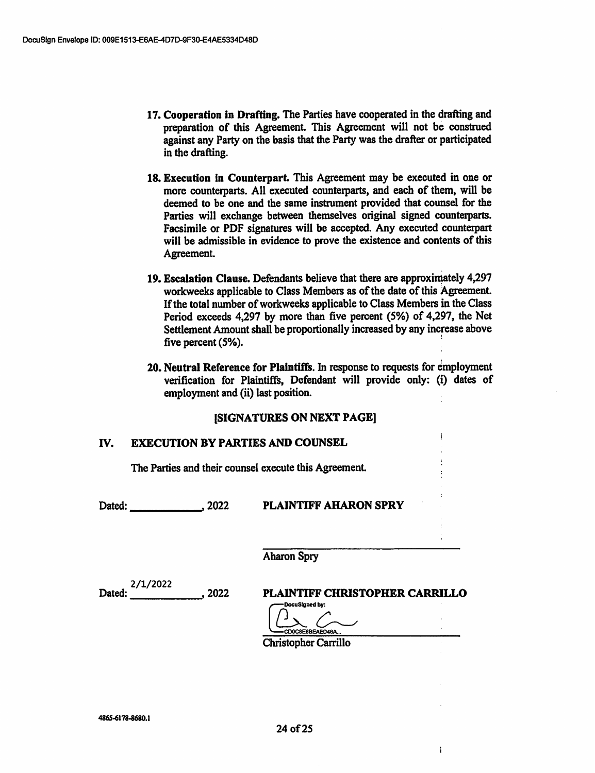- 17. Cooperation in Drafting. The Parties have cooperated in the drafting and preparation of this Agreement This Agreement will not be construed against any Party on the basis that the Party was the drafter or participated in the drafting.
- 18. Execution in Counterpart. This Agreement may be executed in one or more counterparts. All executed counterparts, and each of them, will be deemed to be one and the same instrument provided that counsel for the Parties will exchange between themselves original signed counterparts. Facsimile or PDF signatures will be accepted. Any executed counterpart will be admissible in evidence to prove the existence and contents of this Agreement.
- 19. Escalation Clause. Defendants believe that there are approximately 4,297 workweeks applicable to Class Members as of the date of this Agreement. If the total number of workweeks applicable to Class Members in the Class Period exceeds 4,297 by more than five percent (5%) of 4,297, the Net Settlement Amount shall be proportionally increased by any increase above five percent (5%).
- 20. Neutral Reference for Plaintiffs. In response to requests for employment verification for Plaintiffs, Defendant will provide only: (i) dates of employment and (ii) last position.

## [SIGNATURES ON NEXT PAGE]

#### IV. EXECUTION BY PARTIES AND COUNSEL '

The Parties and their counsel execute this Agreement

### Dated: .2022 PLAINTIFF AHARON SPRY

**Aharon Spry** 

Dated: 2022 2/1/2022

PLAINTIFF CHRISTOPHER CARRILLO

 $\mathbf{1}$ 

-DocuSIgned by: -CD0C8E8BEAEO46A...

Christopher Carrillo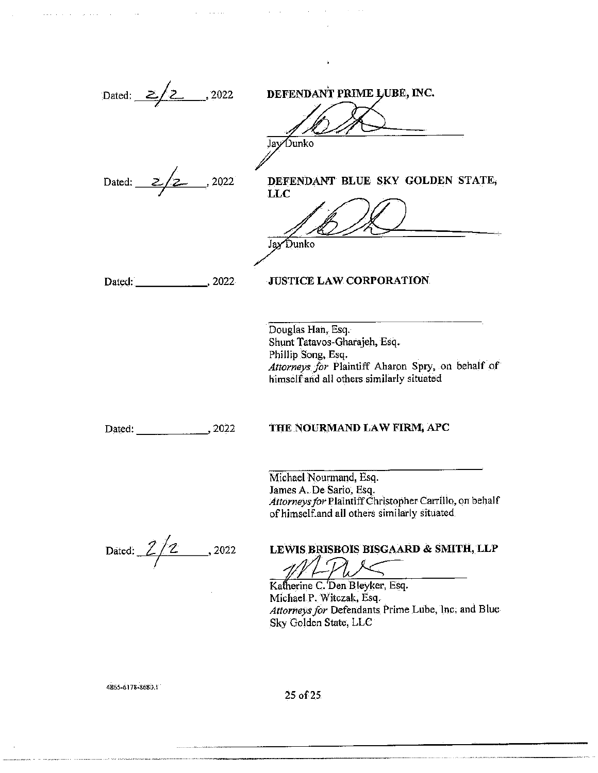

4865-6178-8680.1

25 of 25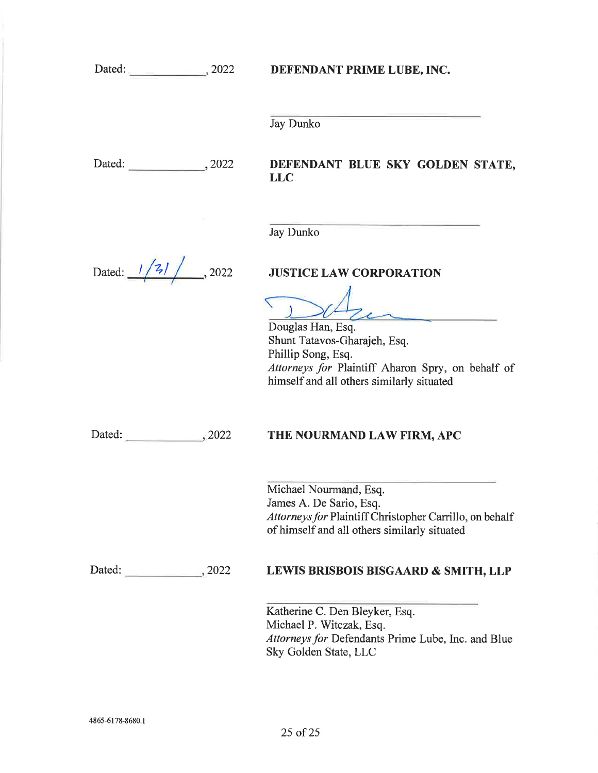DEFENDANT PRIME LUBE, INC.

Jay Dunko

Dated: 3022

## DEFENDANT BLUE SKY GOLDEN STATE, LLC

Jay Dunko

Dated:  $\frac{1}{3}$ , 2022

# JUSTICE LAW CORPORATION

Douglas Han, Esq. Shunt Tatavos-Gharajeh, Esq. Phillip Song, Esq. Attorneys for Plaintiff Aharon Spry, on behalf of himself and all others similarly situated

Dated: , 2022

## THE NOURMAND LAW FIRM, APC

Michael Nourmand, Esq. James A. De Sario, Esq. Attorneys for Plaintiff Christopher Carrillo, on behalf of himself and all others similarly situated

Dated: 3022

## LEWIS BRISBOIS BISGAARD & SMITH, LLP

Katherine C. Den Bleyker, Esq. Michael P. Witczak, Esq. Attorneys for Defendants Prime Lube, Inc. and Blue Sky Golden State, LLC